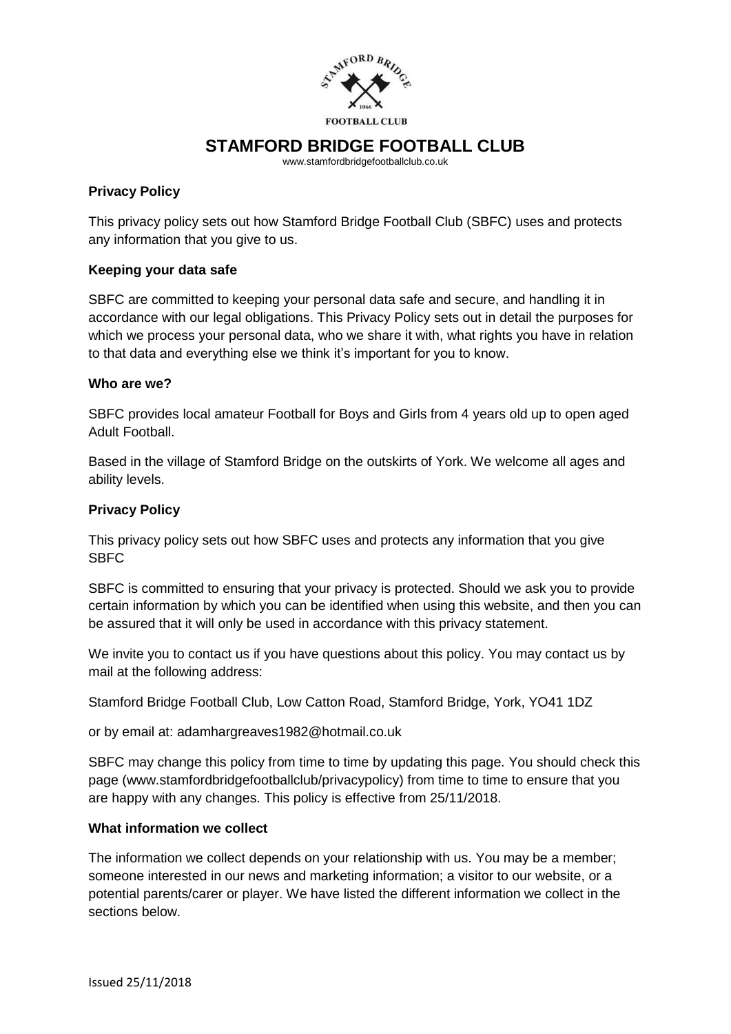

www.stamfordbridgefootballclub.co.uk

## **Privacy Policy**

This privacy policy sets out how Stamford Bridge Football Club (SBFC) uses and protects any information that you give to us.

## **Keeping your data safe**

SBFC are committed to keeping your personal data safe and secure, and handling it in accordance with our legal obligations. This Privacy Policy sets out in detail the purposes for which we process your personal data, who we share it with, what rights you have in relation to that data and everything else we think it's important for you to know.

## **Who are we?**

SBFC provides local amateur Football for Boys and Girls from 4 years old up to open aged Adult Football.

Based in the village of Stamford Bridge on the outskirts of York. We welcome all ages and ability levels.

## **Privacy Policy**

This privacy policy sets out how SBFC uses and protects any information that you give **SBFC** 

SBFC is committed to ensuring that your privacy is protected. Should we ask you to provide certain information by which you can be identified when using this website, and then you can be assured that it will only be used in accordance with this privacy statement.

We invite you to contact us if you have questions about this policy. You may contact us by mail at the following address:

Stamford Bridge Football Club, Low Catton Road, Stamford Bridge, York, YO41 1DZ

or by email at: adamhargreaves1982@hotmail.co.uk

SBFC may change this policy from time to time by updating this page. You should check this page (www.stamfordbridgefootballclub/privacypolicy) from time to time to ensure that you are happy with any changes. This policy is effective from 25/11/2018.

## **What information we collect**

The information we collect depends on your relationship with us. You may be a member; someone interested in our news and marketing information; a visitor to our website, or a potential parents/carer or player. We have listed the different information we collect in the sections below.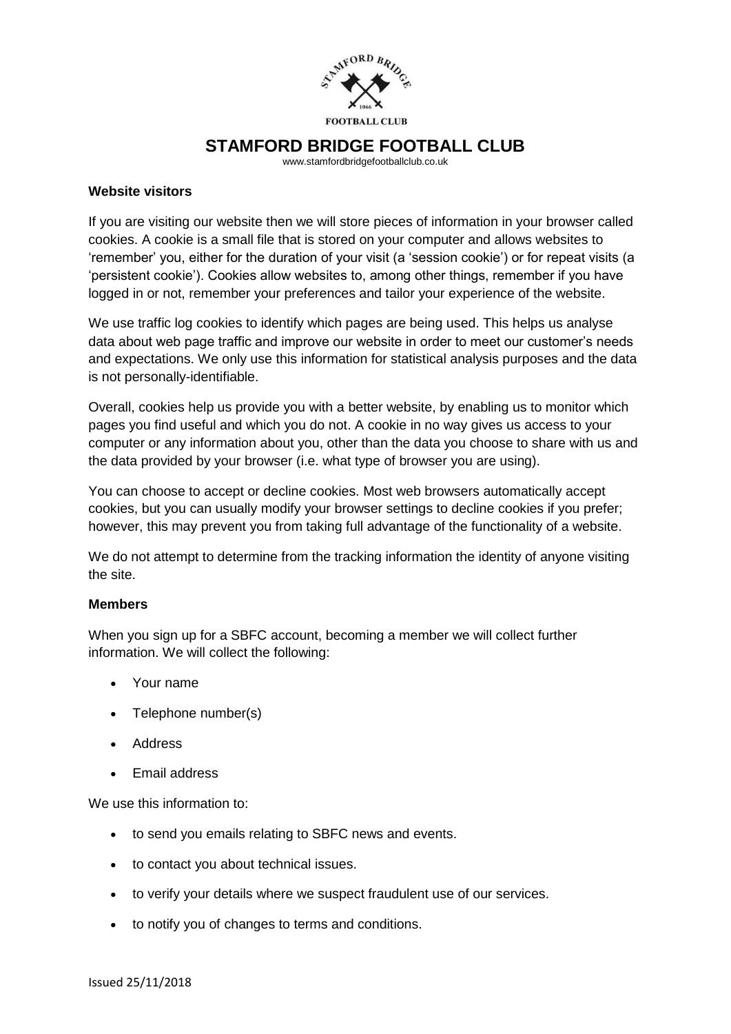

www.stamfordbridgefootballclub.co.uk

### **Website visitors**

If you are visiting our website then we will store pieces of information in your browser called cookies. A cookie is a small file that is stored on your computer and allows websites to 'remember' you, either for the duration of your visit (a 'session cookie') or for repeat visits (a 'persistent cookie'). Cookies allow websites to, among other things, remember if you have logged in or not, remember your preferences and tailor your experience of the website.

We use traffic log cookies to identify which pages are being used. This helps us analyse data about web page traffic and improve our website in order to meet our customer's needs and expectations. We only use this information for statistical analysis purposes and the data is not personally-identifiable.

Overall, cookies help us provide you with a better website, by enabling us to monitor which pages you find useful and which you do not. A cookie in no way gives us access to your computer or any information about you, other than the data you choose to share with us and the data provided by your browser (i.e. what type of browser you are using).

You can choose to accept or decline cookies. Most web browsers automatically accept cookies, but you can usually modify your browser settings to decline cookies if you prefer; however, this may prevent you from taking full advantage of the functionality of a website.

We do not attempt to determine from the tracking information the identity of anyone visiting the site.

#### **Members**

When you sign up for a SBFC account, becoming a member we will collect further information. We will collect the following:

- Your name
- Telephone number(s)
- Address
- Email address

We use this information to:

- to send you emails relating to SBFC news and events.
- to contact you about technical issues.
- to verify your details where we suspect fraudulent use of our services.
- to notify you of changes to terms and conditions.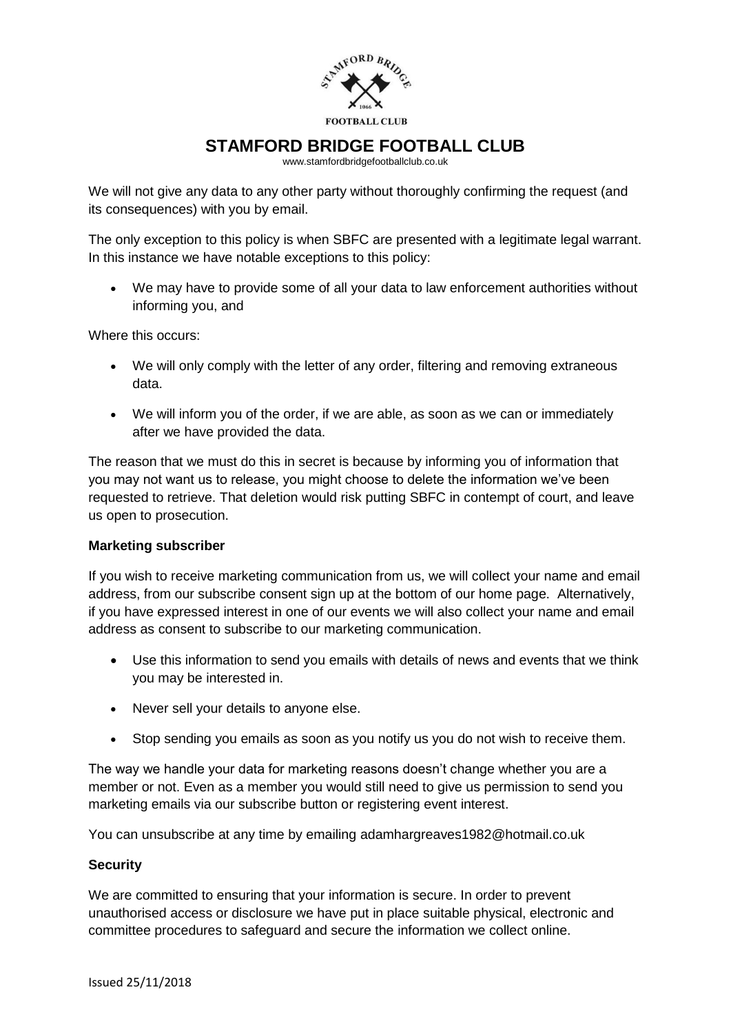

www.stamfordbridgefootballclub.co.uk

We will not give any data to any other party without thoroughly confirming the request (and its consequences) with you by email.

The only exception to this policy is when SBFC are presented with a legitimate legal warrant. In this instance we have notable exceptions to this policy:

 We may have to provide some of all your data to law enforcement authorities without informing you, and

Where this occurs:

- We will only comply with the letter of any order, filtering and removing extraneous data.
- We will inform you of the order, if we are able, as soon as we can or immediately after we have provided the data.

The reason that we must do this in secret is because by informing you of information that you may not want us to release, you might choose to delete the information we've been requested to retrieve. That deletion would risk putting SBFC in contempt of court, and leave us open to prosecution.

## **Marketing subscriber**

If you wish to receive marketing communication from us, we will collect your name and email address, from our subscribe consent sign up at the bottom of our home page. Alternatively, if you have expressed interest in one of our events we will also collect your name and email address as consent to subscribe to our marketing communication.

- Use this information to send you emails with details of news and events that we think you may be interested in.
- Never sell your details to anyone else.
- Stop sending you emails as soon as you notify us you do not wish to receive them.

The way we handle your data for marketing reasons doesn't change whether you are a member or not. Even as a member you would still need to give us permission to send you marketing emails via our subscribe button or registering event interest.

You can unsubscribe at any time by emailing adamhargreaves1982@hotmail.co.uk

## **Security**

We are committed to ensuring that your information is secure. In order to prevent unauthorised access or disclosure we have put in place suitable physical, electronic and committee procedures to safeguard and secure the information we collect online.